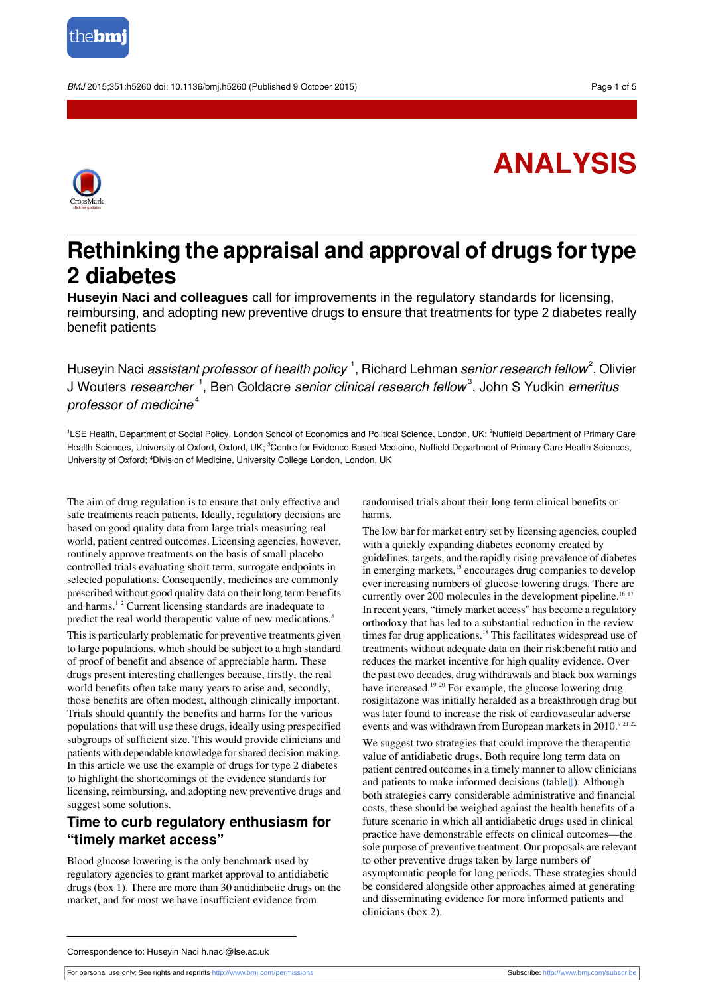

BMJ 2015;351:h5260 doi: 10.1136/bmj.h5260 (Published 9 October 2015) Page 1 of 5

# **ANALYSIS**



## **Rethinking the appraisal and approval of drugs for type 2 diabetes**

**Huseyin Naci and colleagues** call for improvements in the regulatory standards for licensing, reimbursing, and adopting new preventive drugs to ensure that treatments for type 2 diabetes really benefit patients

Huseyin Naci *assistant professor of health policy* <sup>1</sup>, Richard Lehman *senior research fellow<sup>2</sup>,* Olivier J Wouters *researcher* <sup>1</sup>, Ben Goldacre *senior clinical research fellow*  $^3$ , John S Yudkin *emeritus* professor of medicine<sup>4</sup>

<sup>1</sup>LSE Health, Department of Social Policy, London School of Economics and Political Science, London, UK; <sup>2</sup>Nuffield Department of Primary Care Health Sciences, University of Oxford, Oxford, UK; <sup>3</sup>Centre for Evidence Based Medicine, Nuffield Department of Primary Care Health Sciences, University of Oxford; <sup>4</sup>Division of Medicine, University College London, London, UK

The aim of drug regulation is to ensure that only effective and safe treatments reach patients. Ideally, regulatory decisions are based on good quality data from large trials measuring real world, patient centred outcomes. Licensing agencies, however, routinely approve treatments on the basis of small placebo controlled trials evaluating short term, surrogate endpoints in selected populations. Consequently, medicines are commonly prescribed without good quality data on their long term benefits and harms.<sup>1</sup> <sup>2</sup> Current licensing standards are inadequate to predict the real world therapeutic value of new medications.<sup>3</sup> This is particularly problematic for preventive treatments given to large populations, which should be subject to a high standard of proof of benefit and absence of appreciable harm. These drugs present interesting challenges because, firstly, the real world benefits often take many years to arise and, secondly, those benefits are often modest, although clinically important. Trials should quantify the benefits and harms for the various populations that will use these drugs, ideally using prespecified subgroups of sufficient size. This would provide clinicians and patients with dependable knowledge forshared decision making. In this article we use the example of drugs for type 2 diabetes to highlight the shortcomings of the evidence standards for licensing, reimbursing, and adopting new preventive drugs and suggest some solutions.

## **Time to curb regulatory enthusiasm for "timely market access"**

Blood glucose lowering is the only benchmark used by regulatory agencies to grant market approval to antidiabetic drugs (box 1). There are more than 30 antidiabetic drugs on the market, and for most we have insufficient evidence from

randomised trials about their long term clinical benefits or harms.

The low bar for market entry set by licensing agencies, coupled with a quickly expanding diabetes economy created by guidelines, targets, and the rapidly rising prevalence of diabetes in emerging markets,<sup>15</sup> encourages drug companies to develop ever increasing numbers of glucose lowering drugs. There are currently over 200 molecules in the development pipeline.<sup>16 17</sup> In recent years, "timely market access" has become a regulatory orthodoxy that has led to a substantial reduction in the review times for drug applications.<sup>18</sup> This facilitates widespread use of treatments without adequate data on their risk:benefit ratio and reduces the market incentive for high quality evidence. Over the past two decades, drug withdrawals and black box warnings have increased.<sup>19 20</sup> For example, the glucose lowering drug rosiglitazone was initially heralded as a breakthrough drug but was later found to increase the risk of cardiovascular adverse events and was withdrawn from European markets in 2010.<sup>9 21 22</sup>

We suggest two strategies that could improve the therapeutic value of antidiabetic drugs. Both require long term data on patient centred outcomes in a timely manner to allow clinicians and patients to make informed decisions (tabl[e⇓](#page-4-0)). Although both strategies carry considerable administrative and financial costs, these should be weighed against the health benefits of a future scenario in which all antidiabetic drugs used in clinical practice have demonstrable effects on clinical outcomes—the sole purpose of preventive treatment. Our proposals are relevant to other preventive drugs taken by large numbers of asymptomatic people for long periods. These strategies should be considered alongside other approaches aimed at generating and disseminating evidence for more informed patients and clinicians (box 2).

For personal use only: See rights and reprints<http://www.bmj.com/permissions> Subscribe: <http://www.bmj.com/subscribe>

Correspondence to: Huseyin Naci h.naci@lse.ac.uk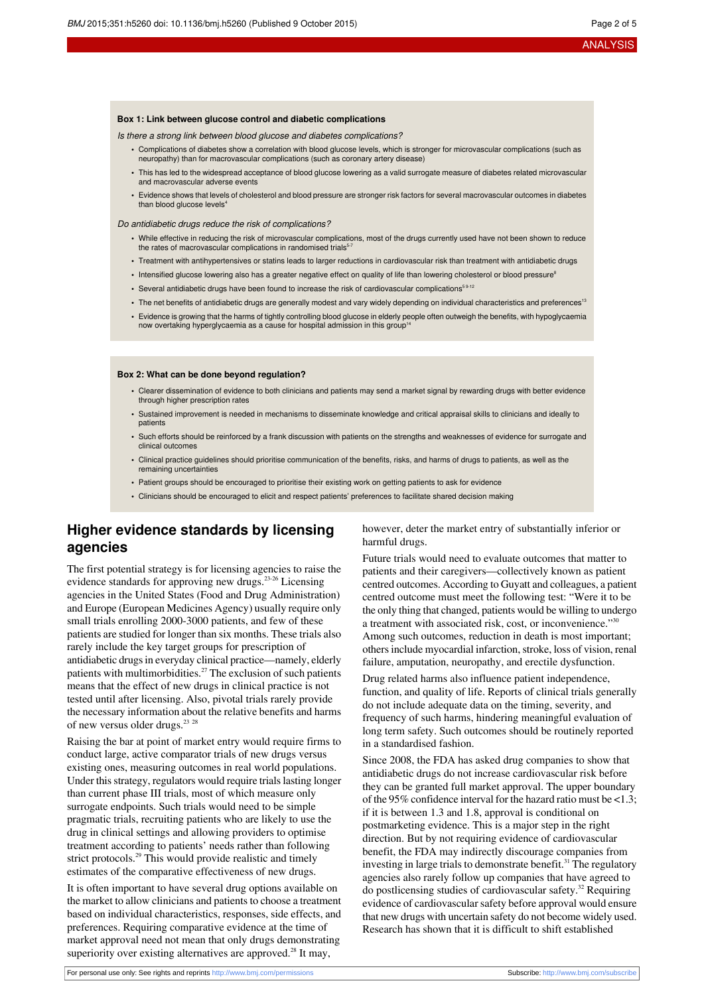#### **Box 1: Link between glucose control and diabetic complications**

Is there a strong link between blood glucose and diabetes complications?

- **•** Complications of diabetes show a correlation with blood glucose levels, which is stronger for microvascular complications (such as neuropathy) than for macrovascular complications (such as coronary artery disease)
- **•** This has led to the widespread acceptance of blood glucose lowering as a valid surrogate measure of diabetes related microvascular and macrovascular adverse events
- **•** Evidence shows that levels of cholesterol and blood pressure are stronger risk factors for several macrovascular outcomes in diabetes than blood glucose levels<sup>4</sup>

#### Do antidiabetic drugs reduce the risk of complications?

- **•** While effective in reducing the risk of microvascular complications, most of the drugs currently used have not been shown to reduce the rates of macrovascular complications in randomised trials<sup>5</sup>
- **•** Treatment with antihypertensives or statins leads to larger reductions in cardiovascular risk than treatment with antidiabetic drugs
- Intensified glucose lowering also has a greater negative effect on quality of life than lowering cholesterol or blood pressure<sup>6</sup>
- Several antidiabetic drugs have been found to increase the risk of cardiovascular complications<sup>59-12</sup>
- The net benefits of antidiabetic drugs are generally modest and vary widely depending on individual characteristics and preferences<sup>13</sup>
- **•** Evidence is growing that the harms of tightly controlling blood glucose in elderly people often outweigh the benefits, with hypoglycaemia now overtaking hyperglycaemia as a cause for hospital admission in this group<sup>1</sup>

#### **Box 2: What can be done beyond regulation?**

- **•** Clearer dissemination of evidence to both clinicians and patients may send a market signal by rewarding drugs with better evidence through higher prescription rates
- **•** Sustained improvement is needed in mechanisms to disseminate knowledge and critical appraisal skills to clinicians and ideally to patients
- **•** Such efforts should be reinforced by a frank discussion with patients on the strengths and weaknesses of evidence for surrogate and clinical outcomes
- **•** Clinical practice guidelines should prioritise communication of the benefits, risks, and harms of drugs to patients, as well as the remaining uncertainties
- **•** Patient groups should be encouraged to prioritise their existing work on getting patients to ask for evidence
- **•** Clinicians should be encouraged to elicit and respect patients' preferences to facilitate shared decision making

## **Higher evidence standards by licensing agencies**

The first potential strategy is for licensing agencies to raise the evidence standards for approving new drugs.<sup>23-26</sup> Licensing agencies in the United States (Food and Drug Administration) and Europe (European Medicines Agency) usually require only small trials enrolling 2000-3000 patients, and few of these patients are studied for longer than six months. These trials also rarely include the key target groups for prescription of antidiabetic drugs in everyday clinical practice—namely, elderly patients with multimorbidities.<sup>27</sup> The exclusion of such patients means that the effect of new drugs in clinical practice is not tested until after licensing. Also, pivotal trials rarely provide the necessary information about the relative benefits and harms of new versus older drugs.<sup>23 28</sup>

Raising the bar at point of market entry would require firms to conduct large, active comparator trials of new drugs versus existing ones, measuring outcomes in real world populations. Under this strategy, regulators would require trials lasting longer than current phase III trials, most of which measure only surrogate endpoints. Such trials would need to be simple pragmatic trials, recruiting patients who are likely to use the drug in clinical settings and allowing providers to optimise treatment according to patients' needs rather than following strict protocols.<sup>29</sup> This would provide realistic and timely estimates of the comparative effectiveness of new drugs.

It is often important to have several drug options available on the market to allow clinicians and patients to choose a treatment based on individual characteristics, responses, side effects, and preferences. Requiring comparative evidence at the time of market approval need not mean that only drugs demonstrating superiority over existing alternatives are approved.<sup>28</sup> It may,

however, deter the market entry of substantially inferior or harmful drugs.

Future trials would need to evaluate outcomes that matter to patients and their caregivers—collectively known as patient centred outcomes. According to Guyatt and colleagues, a patient centred outcome must meet the following test: "Were it to be the only thing that changed, patients would be willing to undergo a treatment with associated risk, cost, or inconvenience."<sup>30</sup> Among such outcomes, reduction in death is most important; others include myocardial infarction, stroke, loss of vision, renal failure, amputation, neuropathy, and erectile dysfunction.

Drug related harms also influence patient independence, function, and quality of life. Reports of clinical trials generally do not include adequate data on the timing, severity, and frequency of such harms, hindering meaningful evaluation of long term safety. Such outcomes should be routinely reported in a standardised fashion.

Since 2008, the FDA has asked drug companies to show that antidiabetic drugs do not increase cardiovascular risk before they can be granted full market approval. The upper boundary of the 95% confidence interval for the hazard ratio must be <1.3; if it is between 1.3 and 1.8, approval is conditional on postmarketing evidence. This is a major step in the right direction. But by not requiring evidence of cardiovascular benefit, the FDA may indirectly discourage companies from investing in large trials to demonstrate benefit.<sup>31</sup> The regulatory agencies also rarely follow up companies that have agreed to do postlicensing studies of cardiovascular safety.<sup>32</sup> Requiring evidence of cardiovascular safety before approval would ensure that new drugs with uncertain safety do not become widely used. Research has shown that it is difficult to shift established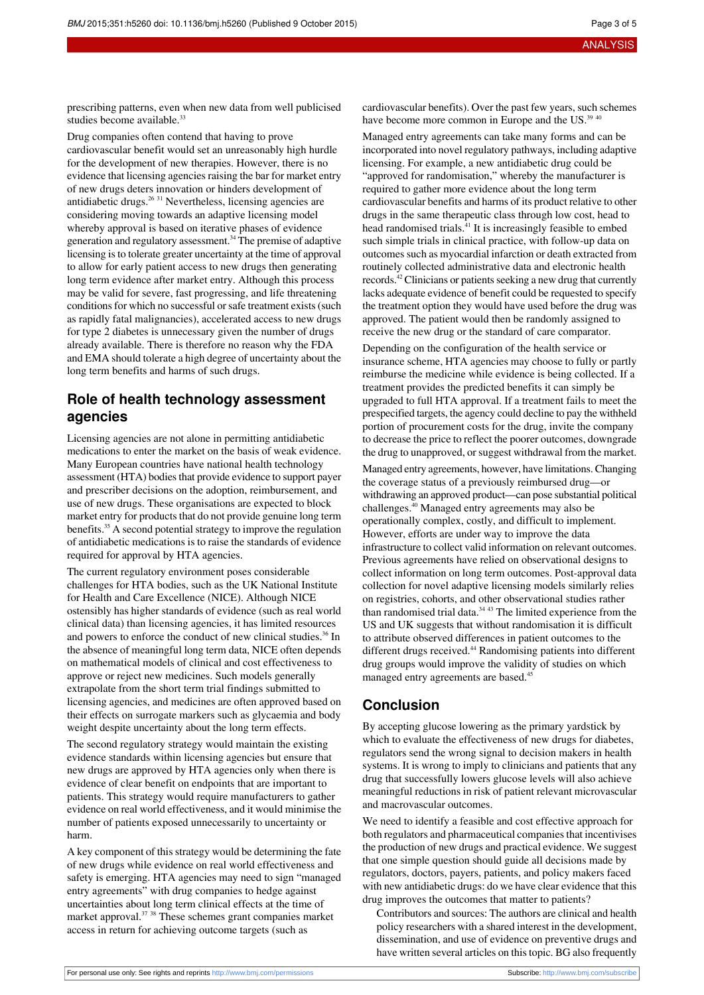prescribing patterns, even when new data from well publicised studies become available.<sup>33</sup>

Drug companies often contend that having to prove cardiovascular benefit would set an unreasonably high hurdle for the development of new therapies. However, there is no evidence that licensing agencies raising the bar for market entry of new drugs deters innovation or hinders development of antidiabetic drugs.<sup>26</sup> <sup>31</sup> Nevertheless, licensing agencies are considering moving towards an adaptive licensing model whereby approval is based on iterative phases of evidence generation and regulatory assessment.<sup>34</sup> The premise of adaptive licensing is to tolerate greater uncertainty at the time of approval to allow for early patient access to new drugs then generating long term evidence after market entry. Although this process may be valid for severe, fast progressing, and life threatening conditions for which no successful or safe treatment exists (such as rapidly fatal malignancies), accelerated access to new drugs for type 2 diabetes is unnecessary given the number of drugs already available. There is therefore no reason why the FDA and EMA should tolerate a high degree of uncertainty about the long term benefits and harms of such drugs.

## **Role of health technology assessment agencies**

Licensing agencies are not alone in permitting antidiabetic medications to enter the market on the basis of weak evidence. Many European countries have national health technology assessment (HTA) bodies that provide evidence to support payer and prescriber decisions on the adoption, reimbursement, and use of new drugs. These organisations are expected to block market entry for products that do not provide genuine long term benefits.<sup>35</sup> A second potential strategy to improve the regulation of antidiabetic medications is to raise the standards of evidence required for approval by HTA agencies.

The current regulatory environment poses considerable challenges for HTA bodies, such as the UK National Institute for Health and Care Excellence (NICE). Although NICE ostensibly has higher standards of evidence (such as real world clinical data) than licensing agencies, it has limited resources and powers to enforce the conduct of new clinical studies.<sup>36</sup> In the absence of meaningful long term data, NICE often depends on mathematical models of clinical and cost effectiveness to approve or reject new medicines. Such models generally extrapolate from the short term trial findings submitted to licensing agencies, and medicines are often approved based on their effects on surrogate markers such as glycaemia and body weight despite uncertainty about the long term effects.

The second regulatory strategy would maintain the existing evidence standards within licensing agencies but ensure that new drugs are approved by HTA agencies only when there is evidence of clear benefit on endpoints that are important to patients. This strategy would require manufacturers to gather evidence on real world effectiveness, and it would minimise the number of patients exposed unnecessarily to uncertainty or harm.

A key component of this strategy would be determining the fate of new drugs while evidence on real world effectiveness and safety is emerging. HTA agencies may need to sign "managed entry agreements" with drug companies to hedge against uncertainties about long term clinical effects at the time of market approval.<sup>37</sup> <sup>38</sup> These schemes grant companies market access in return for achieving outcome targets (such as

cardiovascular benefits). Over the past few years, such schemes have become more common in Europe and the US.<sup>39 40</sup>

Managed entry agreements can take many forms and can be incorporated into novel regulatory pathways, including adaptive licensing. For example, a new antidiabetic drug could be "approved for randomisation," whereby the manufacturer is required to gather more evidence about the long term cardiovascular benefits and harms of its product relative to other drugs in the same therapeutic class through low cost, head to head randomised trials.<sup>41</sup> It is increasingly feasible to embed such simple trials in clinical practice, with follow-up data on outcomes such as myocardial infarction or death extracted from routinely collected administrative data and electronic health records.<sup>42</sup> Clinicians or patients seeking a new drug that currently lacks adequate evidence of benefit could be requested to specify the treatment option they would have used before the drug was approved. The patient would then be randomly assigned to receive the new drug or the standard of care comparator.

Depending on the configuration of the health service or insurance scheme, HTA agencies may choose to fully or partly reimburse the medicine while evidence is being collected. If a treatment provides the predicted benefits it can simply be upgraded to full HTA approval. If a treatment fails to meet the prespecified targets, the agency could decline to pay the withheld portion of procurement costs for the drug, invite the company to decrease the price to reflect the poorer outcomes, downgrade the drug to unapproved, or suggest withdrawal from the market. Managed entry agreements, however, have limitations. Changing the coverage status of a previously reimbursed drug—or withdrawing an approved product—can pose substantial political challenges.<sup>40</sup> Managed entry agreements may also be operationally complex, costly, and difficult to implement. However, efforts are under way to improve the data infrastructure to collect valid information on relevant outcomes. Previous agreements have relied on observational designs to collect information on long term outcomes. Post-approval data collection for novel adaptive licensing models similarly relies on registries, cohorts, and other observational studies rather than randomised trial data.<sup>34 43</sup> The limited experience from the US and UK suggests that without randomisation it is difficult to attribute observed differences in patient outcomes to the different drugs received.<sup>44</sup> Randomising patients into different drug groups would improve the validity of studies on which managed entry agreements are based.<sup>45</sup>

### **Conclusion**

By accepting glucose lowering as the primary yardstick by which to evaluate the effectiveness of new drugs for diabetes, regulators send the wrong signal to decision makers in health systems. It is wrong to imply to clinicians and patients that any drug that successfully lowers glucose levels will also achieve meaningful reductions in risk of patient relevant microvascular and macrovascular outcomes.

We need to identify a feasible and cost effective approach for both regulators and pharmaceutical companies that incentivises the production of new drugs and practical evidence. We suggest that one simple question should guide all decisions made by regulators, doctors, payers, patients, and policy makers faced with new antidiabetic drugs: do we have clear evidence that this drug improves the outcomes that matter to patients?

Contributors and sources: The authors are clinical and health policy researchers with a shared interest in the development, dissemination, and use of evidence on preventive drugs and have written several articles on this topic. BG also frequently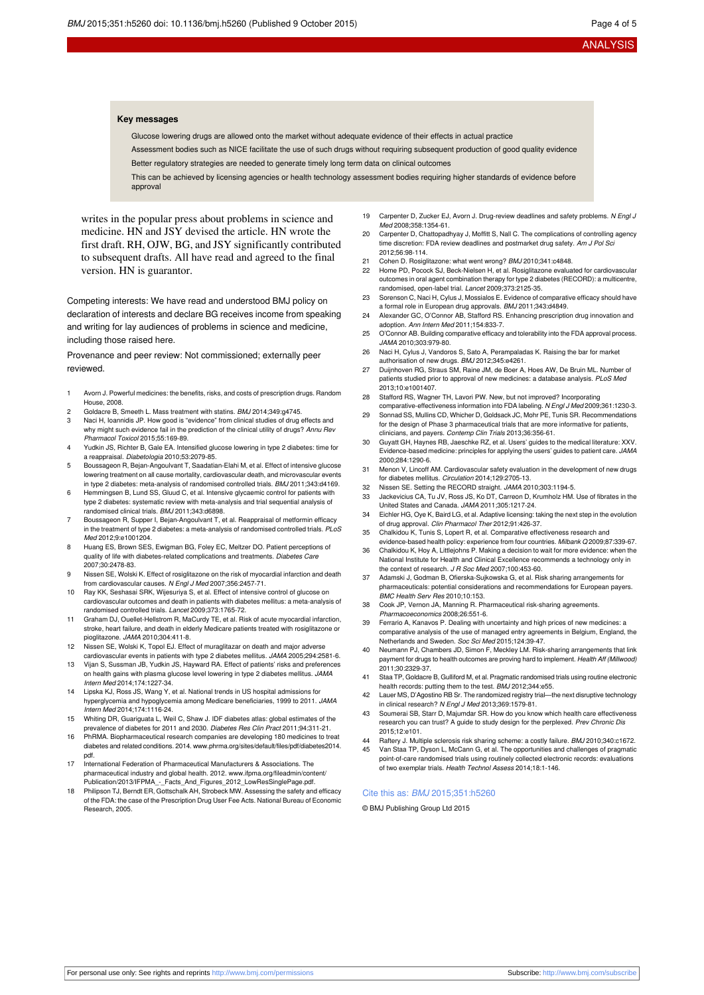#### **Key messages**

Glucose lowering drugs are allowed onto the market without adequate evidence of their effects in actual practice Assessment bodies such as NICE facilitate the use of such drugs without requiring subsequent production of good quality evidence

Better regulatory strategies are needed to generate timely long term data on clinical outcomes

This can be achieved by licensing agencies or health technology assessment bodies requiring higher standards of evidence before approval

writes in the popular press about problems in science and medicine. HN and JSY devised the article. HN wrote the first draft. RH, OJW, BG, and JSY significantly contributed to subsequent drafts. All have read and agreed to the final version. HN is guarantor.

Competing interests: We have read and understood BMJ policy on declaration of interests and declare BG receives income from speaking and writing for lay audiences of problems in science and medicine, including those raised here.

Provenance and peer review: Not commissioned; externally peer reviewed.

- 1 Avorn J. Powerful medicines: the benefits, risks, and costs of prescription drugs. Random House, 2008.
- 2 Goldacre B, Smeeth L. Mass treatment with statins. BMJ 2014;349:g4745.<br>2 Naci H. Joannidie. IP. How good is "evidence" from clinical studies of drug Naci H, Ioannidis JP. How good is "evidence" from clinical studies of drug effects and why might such evidence fail in the prediction of the clinical utility of drugs? Annu Rev Pharmacol Toxicol 2015;55:169-89.
- 4 Yudkin JS, Richter B, Gale EA. Intensified glucose lowering in type 2 diabetes: time for a reappraisal. Diabetologia 2010;53:2079-85.
- 5 Boussageon R, Bejan-Angoulvant T, Saadatian-Elahi M, et al. Effect of intensive glucose lowering treatment on all cause mortality, cardiovascular death, and microvascular events in type 2 diabetes: meta-analysis of randomised controlled trials. BMJ 2011;343:d4169.
- 6 Hemmingsen B, Lund SS, Gluud C, et al. Intensive glycaemic control for patients with type 2 diabetes: systematic review with meta-analysis and trial sequential analysis of randomised clinical trials. BMJ 2011;343:d6898.
- Boussageon R, Supper I, Bejan-Angoulvant T, et al. Reappraisal of metformin efficacy in the treatment of type 2 diabetes: a meta-analysis of randomised controlled trials. PLoS Med 2012;9:e1001204.
- 8 Huang ES, Brown SES, Ewigman BG, Foley EC, Meltzer DO. Patient perceptions of quality of life with diabetes-related complications and treatments. Diabetes Care 2007;30:2478-83.
- Nissen SE, Wolski K. Effect of rosiglitazone on the risk of myocardial infarction and death from cardiovascular causes. N Engl J Med 2007;356:2457-71.
- 10 Ray KK, Seshasai SRK, Wijesuriya S, et al. Effect of intensive control of glucose on cardiovascular outcomes and death in patients with diabetes mellitus: a meta-analysis of randomised controlled trials. Lancet 2009;373:1765-72.
- 11 Graham DJ, Ouellet-Hellstrom R, MaCurdy TE, et al. Risk of acute myocardial infarction, stroke, heart failure, and death in elderly Medicare patients treated with rosiglitazone or pioglitazone. JAMA 2010;304:411-8.
- 12 Nissen SE, Wolski K, Topol EJ. Effect of muraglitazar on death and major adverse cardiovascular events in patients with type 2 diabetes mellitus. JAMA 2005;294:2581-6.
- 13 Vijan S, Sussman JB, Yudkin JS, Hayward RA. Effect of patients' risks and preferences on health gains with plasma glucose level lowering in type 2 diabetes mellitus. JAMA Intern Med 2014;174:1227-34.
- 14 Lipska KJ, Ross JS, Wang Y, et al. National trends in US hospital admissions for hyperglycemia and hypoglycemia among Medicare beneficiaries, 1999 to 2011. JAMA ..<br>Itern Med 2014:174:1116-24.
- 15 Whiting DR, Guariguata L, Weil C, Shaw J. IDF diabetes atlas: global estimates of the prevalence of diabetes for 2011 and 2030. Diabetes Res Clin Pract 2011;94:311-21.
- 16 PhRMA. Biopharmaceutical research companies are developing 180 medicines to treat diabetes and related conditions. 2014. [www.phrma.org/sites/default/files/pdf/diabetes2014.](http://www.phrma.org/sites/default/files/pdf/diabetes2014.pdf) [pdf.](http://www.phrma.org/sites/default/files/pdf/diabetes2014.pdf)
- 17 International Federation of Pharmaceutical Manufacturers & Associations. The pharmaceutical industry and global health. 2012. [www.ifpma.org/fileadmin/content/](http://www.ifpma.org/fileadmin/content/Publication/2013/IFPMA_-_Facts_And_Figures_2012_LowResSinglePage.pdf) [Publication/2013/IFPMA\\_-\\_Facts\\_And\\_Figures\\_2012\\_LowResSinglePage.pdf](http://www.ifpma.org/fileadmin/content/Publication/2013/IFPMA_-_Facts_And_Figures_2012_LowResSinglePage.pdf).
- 18 Philipson TJ, Berndt ER, Gottschalk AH, Strobeck MW. Assessing the safety and efficacy of the FDA: the case of the Prescription Drug User Fee Acts. National Bureau of Economic Research, 2005.
- 19 Carpenter D, Zucker EJ, Avorn J. Drug-review deadlines and safety problems. N Engl J Med 2008;358:1354-61.
- 20 Carpenter D, Chattopadhyay J, Moffitt S, Nall C. The complications of controlling agency time discretion: FDA review deadlines and postmarket drug safety. Am J Pol Sci 2012;56:98-114.
- 21 Cohen D. Rosiglitazone: what went wrong? BMJ 2010;341:c4848.
- 22 Home PD, Pocock SJ, Beck-Nielsen H, et al. Rosiglitazone evaluated for cardiovascular outcomes in oral agent combination therapy for type 2 diabetes (RECORD): a multicentre, randomised, open-label trial. Lancet 2009;373:2125-35.
- 23 Sorenson C, Naci H, Cylus J, Mossialos E. Evidence of comparative efficacy should have
- a formal role in European drug approvals. BMJ 2011;343:d4849. 24 Alexander GC, O'Connor AB, Stafford RS. Enhancing prescription drug innovation and adoption. Ann Intern Med 2011;154:833-7.
- 25 O'Connor AB. Building comparative efficacy and tolerability into the FDA approval process JAMA 2010;303:979-80.
- 26 Naci H, Cylus J, Vandoros S, Sato A, Perampaladas K. Raising the bar for market authorisation of new drugs. BMJ 2012;345:e4261.
- 27 Duijnhoven RG, Straus SM, Raine JM, de Boer A, Hoes AW, De Bruin ML. Number of patients studied prior to approval of new medicines: a database analysis. PLoS Med 2013;10:e1001407.
- 28 Stafford RS, Wagner TH, Lavori PW. New, but not improved? Incorporating
- comparative-effectiveness information into FDA labeling. N Engl J Med 2009;361:1230-3. 29 Sonnad SS, Mullins CD, Whicher D, Goldsack JC, Mohr PE, Tunis SR. Recommendations for the design of Phase 3 pharmaceutical trials that are more informative for patients,
- clinicians, and payers. Contemp Clin Trials 2013;36:356-61. 30 Guyatt GH, Haynes RB, Jaeschke RZ, et al. Users' guides to the medical literature: XXV. Evidence-based medicine: principles for applying the users' guides to patient care. JAMA 2000;284:1290-6.
- 31 Menon V, Lincoff AM. Cardiovascular safety evaluation in the development of new drugs for diabetes mellitus. Circulation 2014;129:2705-13.
- 32 Nissen SE. Setting the RECORD straight. JAMA 2010;303:1194-5.<br>33 Jackevicius CA. Tu JV. Ross JS. Ko DT. Carreon D. Krumholz HM.
- Jackevicius CA, Tu JV, Ross JS, Ko DT, Carreon D, Krumholz HM. Use of fibrates in the United States and Canada. JAMA 2011;305:1217-24.
- Eichler HG, Oye K, Baird LG, et al. Adaptive licensing: taking the next step in the evolution of drug approval. Clin Pharmacol Ther 2012;91:426-37.
- 35 Chalkidou K, Tunis S, Lopert R, et al. Comparative effectiveness research and
- evidence-based health policy: experience from four countries. Milbank Q 2009;87:339-67. 36 Chalkidou K, Hoy A, Littlejohns P. Making a decision to wait for more evidence: when the National Institute for Health and Clinical Excellence recommends a technology only in
- the context of research. J R Soc Med 2007;100:453-60. 37 Adamski J, Godman B, Ofierska-Sujkowska G, et al. Risk sharing arrangements for pharmaceuticals: potential considerations and recommendations for European payers.
- BMC Health Serv Res 2010;10:153. 38 Cook JP, Vernon JA, Manning R. Pharmaceutical risk-sharing agreements.
- Pharmacoeconomics 2008;26:551-6. 39 Ferrario A, Kanavos P. Dealing with uncertainty and high prices of new medicines: a comparative analysis of the use of managed entry agreements in Belgium, England, the Netherlands and Sweden. Soc Sci Med 2015;124:39-47.
- 40 Neumann PJ, Chambers JD, Simon F, Meckley LM. Risk-sharing arrangements that link payment for drugs to health outcomes are proving hard to implement. Health Aff (Millwood) 2011;30:2329-37.
- 41 Staa TP, Goldacre B, Gulliford M, et al. Pragmatic randomised trials using routine electronic health records: putting them to the test. BMJ 2012;344:e55.
- 42 Lauer MS, D'Agostino RB Sr. The randomized registry trial—the next disruptive technology in clinical research? N Engl J Med 2013;369:1579-81.
- 43 Soumerai SB, Starr D, Majumdar SR. How do you know which health care effectiveness research you can trust? A guide to study design for the perplexed. Prev Chronic Dis 2015;12:e101.
- 44 Raftery J. Multiple sclerosis risk sharing scheme: a costly failure. BMJ 2010;340:c1672. Van Staa TP, Dyson L, McCann G, et al. The opportunities and challenges of pragmatic point-of-care randomised trials using routinely collected electronic records: evaluations of two exemplar trials. Health Technol Assess 2014;18:1-146.

#### Cite this as: BMJ 2015;351:h5260

© BMJ Publishing Group Ltd 2015